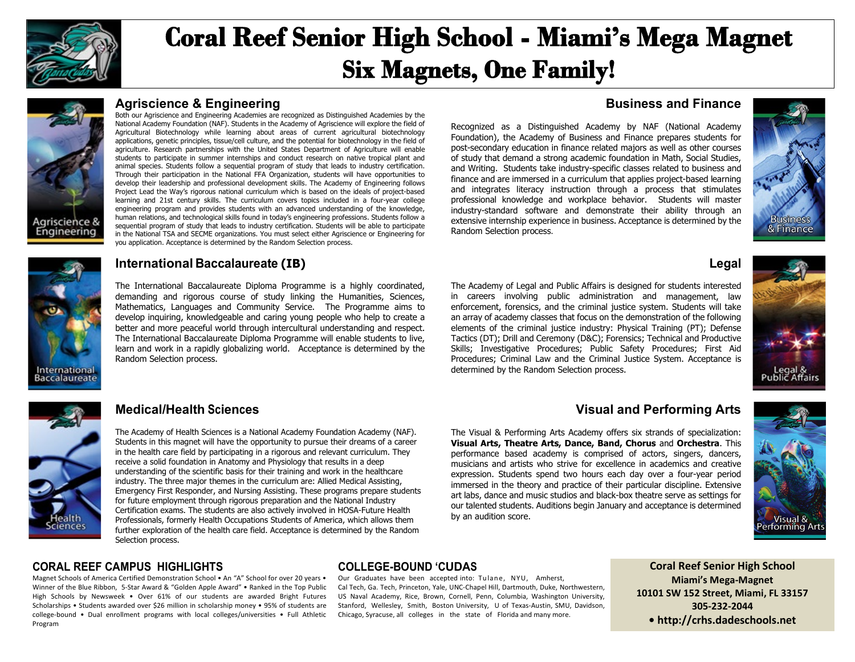

# **Coral Reef Senior High School - Miami's Mega Magnet Six Magnets, One Family!**



#### **Agriscience & Engineering**

Both our Agriscience and Engineering Academies are recognized as Distinguished Academies by the National Academy Foundation (NAF). Students in the Academy of Agriscience will explore the field of Agricultural Biotechnology while learning about areas of current agricultural biotechnology applications, genetic principles, tissue/cell culture, and the potential for biotechnology in the field of agriculture. Research partnerships with the United States Department of Agriculture will enable students to participate in summer internships and conduct research on native tropical plant and animal species. Students follow a sequential program of study that leads to industry certification. Through their participation in the National FFA Organization, students will have opportunities to develop their leadership and professional development skills. The Academy of Engineering follows Project Lead the Way's rigorous national curriculum which is based on the ideals of project-based learning and 21st century skills. The curriculum covers topics included in a four-year college engineering program and provides students with an advanced understanding of the knowledge, human relations, and technological skills found in today's engineering professions. Students follow a sequential program of study that leads to industry certification. Students will be able to participate in the National TSA and SECME organizations. You must select either Agriscience or Engineering for you application. Acceptance is determined by the Random Selection process.

## **International Baccalaureate (IB)**

The International Baccalaureate Diploma Programme is a highly coordinated, demanding and rigorous course of study linking the Humanities, Sciences, Mathematics, Languages and Community Service. The Programme aims to develop inquiring, knowledgeable and caring young people who help to create a better and more peaceful world through intercultural understanding and respect. The International Baccalaureate Diploma Programme will enable students to live, learn and work in a rapidly globalizing world. Acceptance is determined by the Random Selection process.

#### **Business and Finance**

Recognized as a Distinguished Academy by NAF (National Academy Foundation), the Academy of Business and Finance prepares students for post-secondary education in finance related majors as well as other courses of study that demand a strong academic foundation in Math, Social Studies, and Writing. Students take industry-specific classes related to business and finance and are immersed in a curriculum that applies project-based learning and integrates literacy instruction through a process that stimulates professional knowledge and workplace behavior. Students will master industry-standard software and demonstrate their ability through an extensive internship experience in business. Acceptance is determined by the Random Selection process.



#### **Legal**

The Academy of Legal and Public Affairs is designed for students interested in careers involving public administration and management, law enforcement, forensics, and the criminal justice system. Students will take an array of academy classes that focus on the demonstration of the following elements of the criminal justice industry: Physical Training (PT); Defense Tactics (DT); Drill and Ceremony (D&C); Forensics; Technical and Productive Skills; Investigative Procedures; Public Safety Procedures; First Aid Procedures; Criminal Law and the Criminal Justice System. Acceptance is determined by the Random Selection process.



# alth ciences

International **Baccalaureate** 

#### **Medical/Health Sciences**

The Academy of Health Sciences is a National Academy Foundation Academy (NAF). Students in this magnet will have the opportunity to pursue their dreams of a career in the health care field by participating in a rigorous and relevant curriculum. They receive a solid foundation in Anatomy and Physiology that results in a deep understanding of the scientific basis for their training and work in the healthcare industry. The three major themes in the curriculum are: Allied Medical Assisting, Emergency First Responder, and Nursing Assisting. These programs prepare students for future employment through rigorous preparation and the National Industry Certification exams. The students are also actively involved in HOSA-Future Health Professionals, formerly Health Occupations Students of America, which allows them further exploration of the health care field. Acceptance is determined by the Random Selection process.

#### **Visual and Performing Arts**

The Visual & Performing Arts Academy offers six strands of specialization: **Visual Arts, Theatre Arts, Dance, Band, Chorus** and **Orchestra**. This performance based academy is comprised of actors, singers, dancers, musicians and artists who strive for excellence in academics and creative expression. Students spend two hours each day over a four-year period immersed in the theory and practice of their particular discipline. Extensive art labs, dance and music studios and black-box theatre serve as settings for our talented students. Auditions begin January and acceptance is determined by an audition score.



#### **CORAL REEF CAMPUS HIGHLIGHTS**

Magnet Schools of America Certified Demonstration School • An "A" School for over 20 years • Winner of the Blue Ribbon, 5-Star Award & "Golden Apple Award" • Ranked in the Top Public High Schools by Newsweek • Over 61% of our students are awarded Bright Futures Scholarships • Students awarded over \$26 million in scholarship money • 95% of students are college-bound • Dual enrollment programs with local colleges/universities • Full Athletic Program

#### **COLLEGE-BOUND 'CUDAS**

Our Graduates have been accepted into: Tulane, NYU, Amherst, Cal Tech, Ga. Tech, Princeton, Yale, UNC-Chapel Hill, Dartmouth, Duke, Northwestern, US Naval Academy, Rice, Brown, Cornell, Penn, Columbia, Washington University, Stanford, Wellesley, Smith, Boston University, U of Texas-Austin, SMU, Davidson, Chicago, Syracuse, all colleges in the state of Florida and many more.

**Coral Reef Senior High School Miami's Mega-Magnet 10101 SW 152 Street, Miami, FL 33157 305-232-2044 • http://crhs.dadeschools.net**